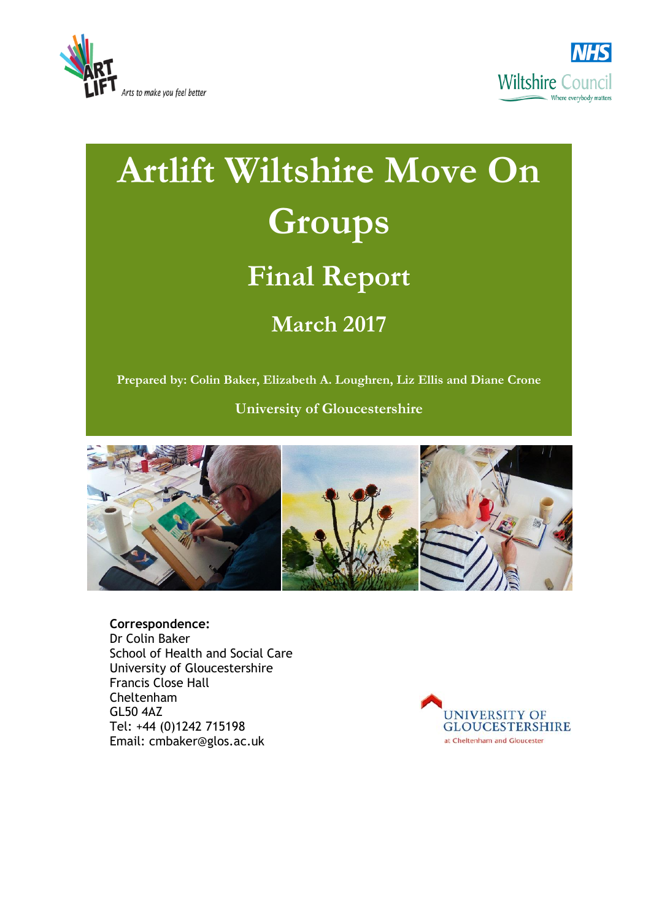



# **Artlift Wiltshire Move On Groups Final Report March 2017**

**Prepared by: Colin Baker, Elizabeth A. Loughren, Liz Ellis and Diane Crone**

**University of Gloucestershire**



**Correspondence:** 

Dr Colin Baker School of Health and Social Care University of Gloucestershire Francis Close Hall Cheltenham GL50 4AZ Tel: +44 (0)1242 715198 Email: cmbaker@glos.ac.uk

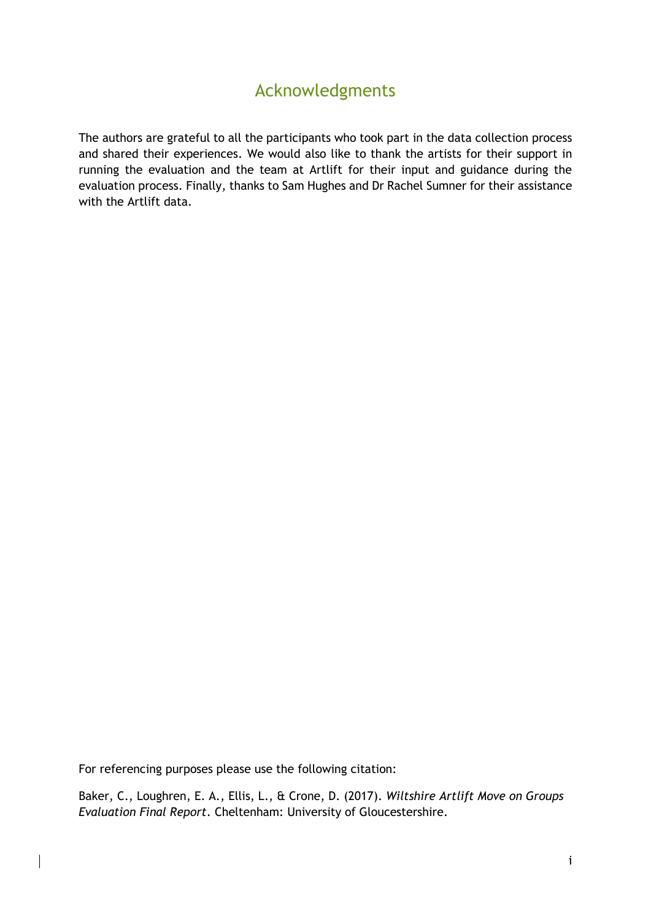## Acknowledgments

<span id="page-1-0"></span>The authors are grateful to all the participants who took part in the data collection process and shared their experiences. We would also like to thank the artists for their support in running the evaluation and the team at Artlift for their input and guidance during the evaluation process. Finally, thanks to Sam Hughes and Dr Rachel Sumner for their assistance with the Artlift data.

For referencing purposes please use the following citation:

Baker, C., Loughren, E. A., Ellis, L., & Crone, D. (2017). *Wiltshire Artlift Move on Groups Evaluation Final Report*. Cheltenham: University of Gloucestershire.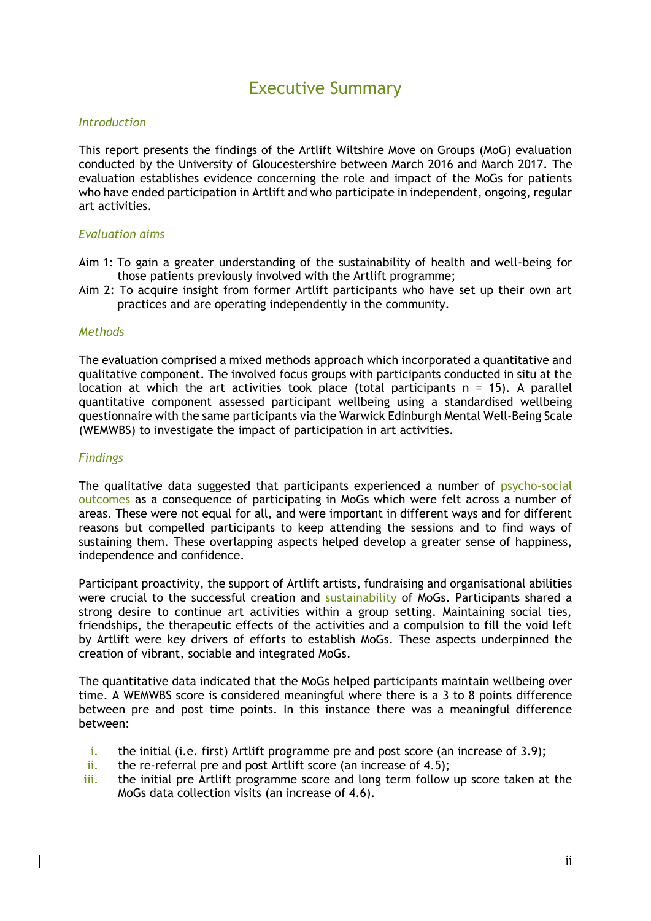## Executive Summary

#### <span id="page-2-0"></span>*Introduction*

This report presents the findings of the Artlift Wiltshire Move on Groups (MoG) evaluation conducted by the University of Gloucestershire between March 2016 and March 2017. The evaluation establishes evidence concerning the role and impact of the MoGs for patients who have ended participation in Artlift and who participate in independent, ongoing, regular art activities.

#### *Evaluation aims*

- Aim 1: To gain a greater understanding of the sustainability of health and well-being for those patients previously involved with the Artlift programme;
- Aim 2: To acquire insight from former Artlift participants who have set up their own art practices and are operating independently in the community.

#### *Methods*

The evaluation comprised a mixed methods approach which incorporated a quantitative and qualitative component. The involved focus groups with participants conducted in situ at the location at which the art activities took place (total participants  $n = 15$ ). A parallel quantitative component assessed participant wellbeing using a standardised wellbeing questionnaire with the same participants via the Warwick Edinburgh Mental Well-Being Scale (WEMWBS) to investigate the impact of participation in art activities.

#### *Findings*

The qualitative data suggested that participants experienced a number of psycho-social outcomes as a consequence of participating in MoGs which were felt across a number of areas. These were not equal for all, and were important in different ways and for different reasons but compelled participants to keep attending the sessions and to find ways of sustaining them. These overlapping aspects helped develop a greater sense of happiness, independence and confidence.

Participant proactivity, the support of Artlift artists, fundraising and organisational abilities were crucial to the successful creation and sustainability of MoGs. Participants shared a strong desire to continue art activities within a group setting. Maintaining social ties, friendships, the therapeutic effects of the activities and a compulsion to fill the void left by Artlift were key drivers of efforts to establish MoGs. These aspects underpinned the creation of vibrant, sociable and integrated MoGs.

The quantitative data indicated that the MoGs helped participants maintain wellbeing over time. A WEMWBS score is considered meaningful where there is a 3 to 8 points difference between pre and post time points. In this instance there was a meaningful difference between:

- i. the initial (i.e. first) Artlift programme pre and post score (an increase of 3.9);
- ii. the re-referral pre and post Artlift score (an increase of  $4.5$ );
- iii. the initial pre Artlift programme score and long term follow up score taken at the MoGs data collection visits (an increase of 4.6).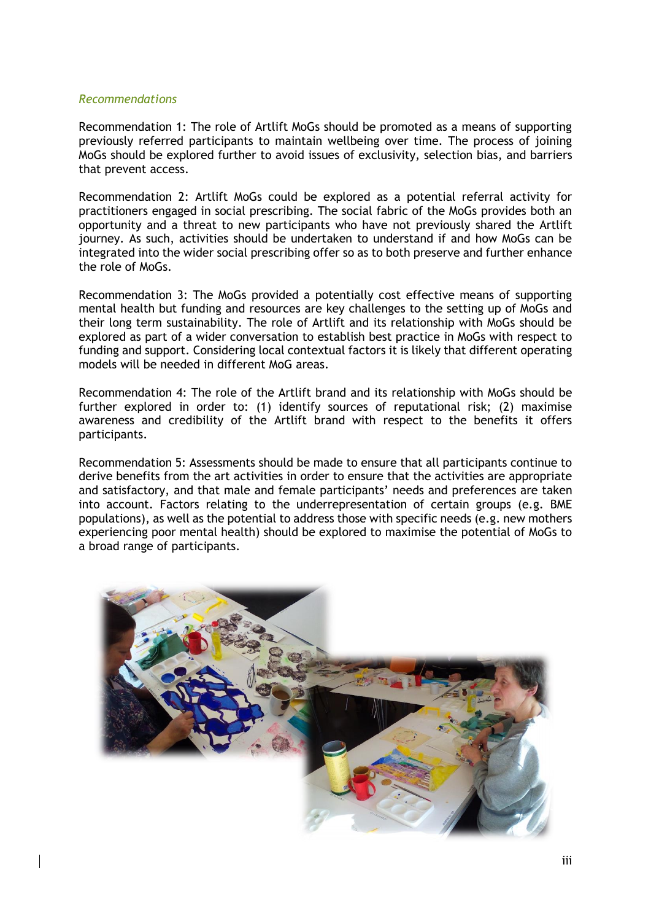#### *Recommendations*

Recommendation 1: The role of Artlift MoGs should be promoted as a means of supporting previously referred participants to maintain wellbeing over time. The process of joining MoGs should be explored further to avoid issues of exclusivity, selection bias, and barriers that prevent access.

Recommendation 2: Artlift MoGs could be explored as a potential referral activity for practitioners engaged in social prescribing. The social fabric of the MoGs provides both an opportunity and a threat to new participants who have not previously shared the Artlift journey. As such, activities should be undertaken to understand if and how MoGs can be integrated into the wider social prescribing offer so as to both preserve and further enhance the role of MoGs.

Recommendation 3: The MoGs provided a potentially cost effective means of supporting mental health but funding and resources are key challenges to the setting up of MoGs and their long term sustainability. The role of Artlift and its relationship with MoGs should be explored as part of a wider conversation to establish best practice in MoGs with respect to funding and support. Considering local contextual factors it is likely that different operating models will be needed in different MoG areas.

Recommendation 4: The role of the Artlift brand and its relationship with MoGs should be further explored in order to: (1) identify sources of reputational risk; (2) maximise awareness and credibility of the Artlift brand with respect to the benefits it offers participants.

Recommendation 5: Assessments should be made to ensure that all participants continue to derive benefits from the art activities in order to ensure that the activities are appropriate and satisfactory, and that male and female participants' needs and preferences are taken into account. Factors relating to the underrepresentation of certain groups (e.g. BME populations), as well as the potential to address those with specific needs (e.g. new mothers experiencing poor mental health) should be explored to maximise the potential of MoGs to a broad range of participants.

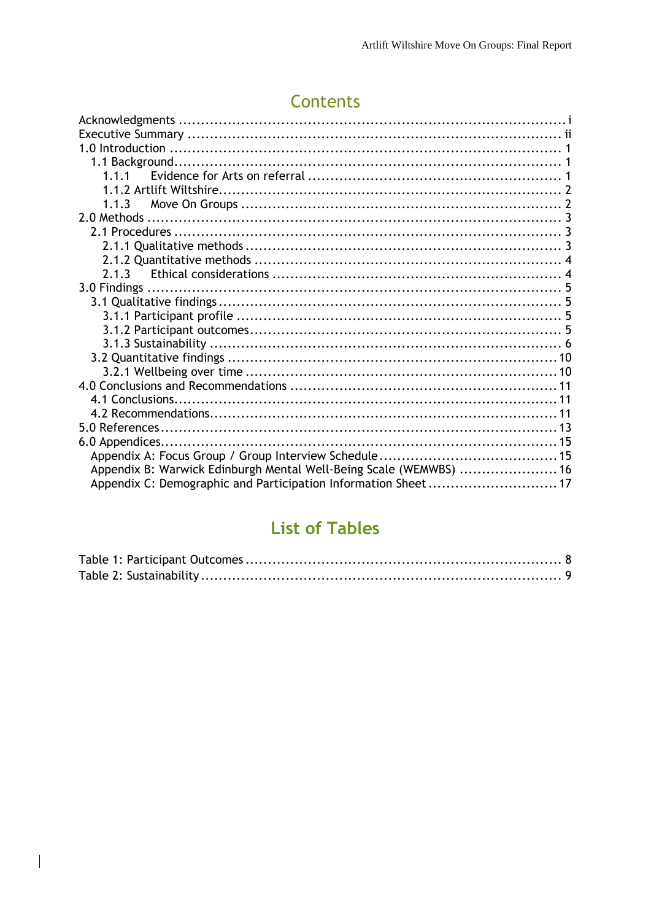# Contents

| Appendix B: Warwick Edinburgh Mental Well-Being Scale (WEMWBS)  16 |  |
|--------------------------------------------------------------------|--|
| Appendix C: Demographic and Participation Information Sheet17      |  |
|                                                                    |  |

## **List of Tables**

 $\overline{\phantom{a}}$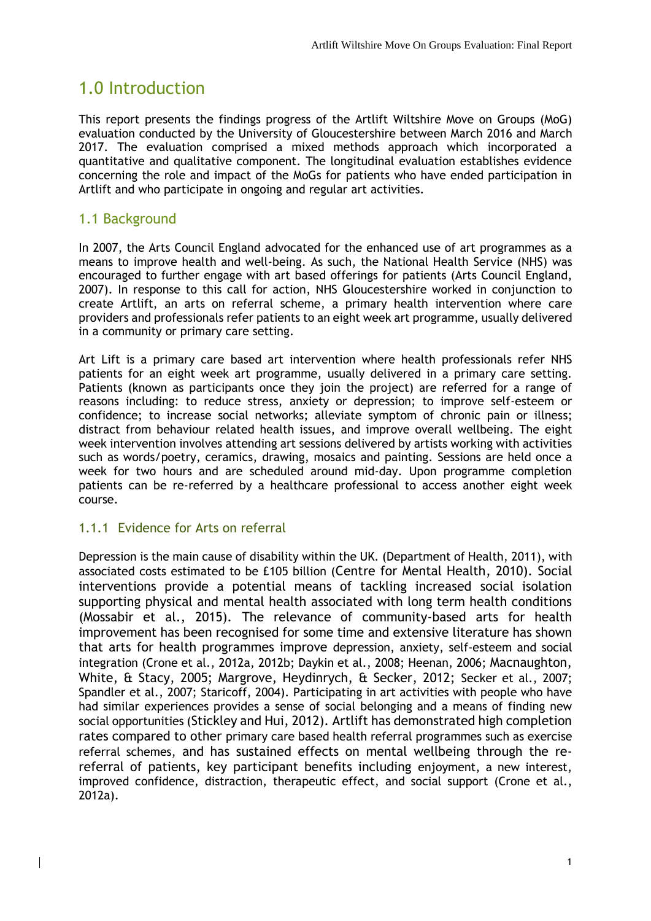## <span id="page-5-0"></span>1.0 Introduction

This report presents the findings progress of the Artlift Wiltshire Move on Groups (MoG) evaluation conducted by the University of Gloucestershire between March 2016 and March 2017. The evaluation comprised a mixed methods approach which incorporated a quantitative and qualitative component. The longitudinal evaluation establishes evidence concerning the role and impact of the MoGs for patients who have ended participation in Artlift and who participate in ongoing and regular art activities.

#### <span id="page-5-1"></span>1.1 Background

In 2007, the Arts Council England advocated for the enhanced use of art programmes as a means to improve health and well-being. As such, the National Health Service (NHS) was encouraged to further engage with art based offerings for patients (Arts Council England, 2007). In response to this call for action, NHS Gloucestershire worked in conjunction to create Artlift, an arts on referral scheme, a primary health intervention where care providers and professionals refer patients to an eight week art programme, usually delivered in a community or primary care setting.

Art Lift is a primary care based art intervention where health professionals refer NHS patients for an eight week art programme, usually delivered in a primary care setting. Patients (known as participants once they join the project) are referred for a range of reasons including: to reduce stress, anxiety or depression; to improve self-esteem or confidence; to increase social networks; alleviate symptom of chronic pain or illness; distract from behaviour related health issues, and improve overall wellbeing. The eight week intervention involves attending art sessions delivered by artists working with activities such as words/poetry, ceramics, drawing, mosaics and painting. Sessions are held once a week for two hours and are scheduled around mid-day. Upon programme completion patients can be re-referred by a healthcare professional to access another eight week course.

#### <span id="page-5-2"></span>1.1.1 Evidence for Arts on referral

Depression is the main cause of disability within the UK. (Department of Health, 2011), with associated costs estimated to be £105 billion (Centre for Mental Health, 2010). Social interventions provide a potential means of tackling increased social isolation supporting physical and mental health associated with long term health conditions (Mossabir et al., 2015). The relevance of community-based arts for health improvement has been recognised for some time and extensive literature has shown that arts for health programmes improve depression, anxiety, self-esteem and social integration (Crone et al., 2012a, 2012b; Daykin et al., 2008; Heenan, 2006; Macnaughton, White, & Stacy, 2005; Margrove, Heydinrych, & Secker, 2012; Secker et al., 2007; Spandler et al., 2007; Staricoff, 2004). Participating in art activities with people who have had similar experiences provides a sense of social belonging and a means of finding new social opportunities (Stickley and Hui, 2012). Artlift has demonstrated high completion rates compared to other primary care based health referral programmes such as exercise referral schemes, and has sustained effects on mental wellbeing through the rereferral of patients, key participant benefits including enjoyment, a new interest, improved confidence, distraction, therapeutic effect, and social support (Crone et al., 2012a).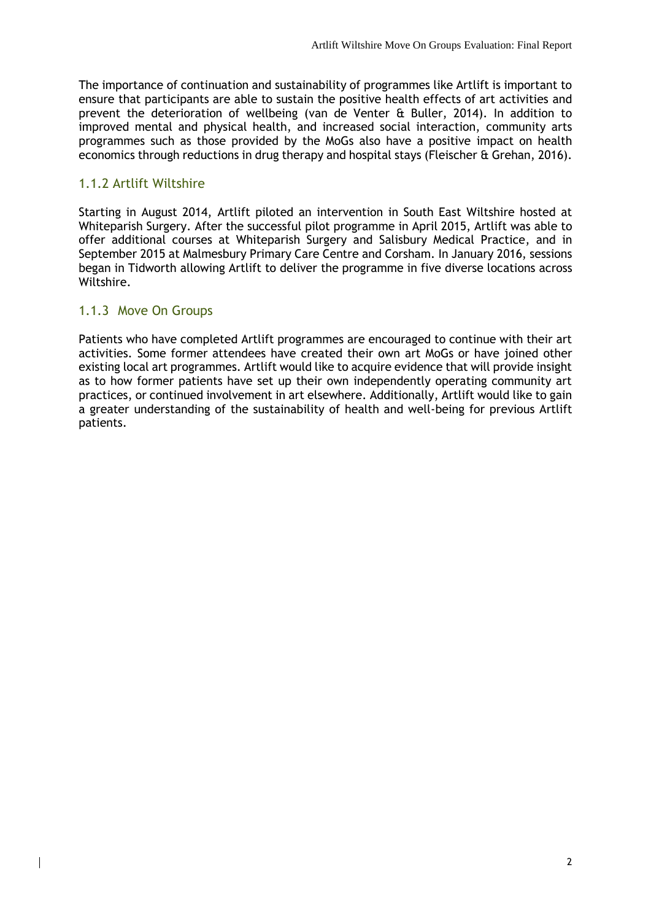The importance of continuation and sustainability of programmes like Artlift is important to ensure that participants are able to sustain the positive health effects of art activities and prevent the deterioration of wellbeing (van de Venter & Buller, 2014). In addition to improved mental and physical health, and increased social interaction, community arts programmes such as those provided by the MoGs also have a positive impact on health economics through reductions in drug therapy and hospital stays (Fleischer & Grehan, 2016).

#### <span id="page-6-0"></span>1.1.2 Artlift Wiltshire

Starting in August 2014, Artlift piloted an intervention in South East Wiltshire hosted at Whiteparish Surgery. After the successful pilot programme in April 2015, Artlift was able to offer additional courses at Whiteparish Surgery and Salisbury Medical Practice, and in September 2015 at Malmesbury Primary Care Centre and Corsham. In January 2016, sessions began in Tidworth allowing Artlift to deliver the programme in five diverse locations across Wiltshire.

#### <span id="page-6-1"></span>1.1.3 Move On Groups

Patients who have completed Artlift programmes are encouraged to continue with their art activities. Some former attendees have created their own art MoGs or have joined other existing local art programmes. Artlift would like to acquire evidence that will provide insight as to how former patients have set up their own independently operating community art practices, or continued involvement in art elsewhere. Additionally, Artlift would like to gain a greater understanding of the sustainability of health and well-being for previous Artlift patients.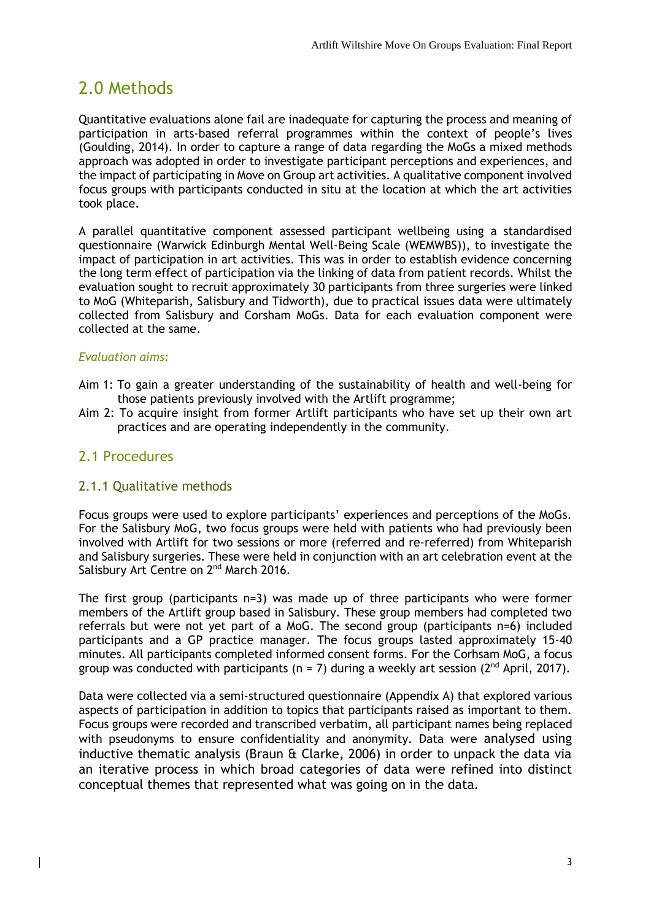## <span id="page-7-0"></span>2.0 Methods

Quantitative evaluations alone fail are inadequate for capturing the process and meaning of participation in arts-based referral programmes within the context of people's lives (Goulding, 2014). In order to capture a range of data regarding the MoGs a mixed methods approach was adopted in order to investigate participant perceptions and experiences, and the impact of participating in Move on Group art activities. A qualitative component involved focus groups with participants conducted in situ at the location at which the art activities took place.

A parallel quantitative component assessed participant wellbeing using a standardised questionnaire (Warwick Edinburgh Mental Well-Being Scale (WEMWBS)), to investigate the impact of participation in art activities. This was in order to establish evidence concerning the long term effect of participation via the linking of data from patient records. Whilst the evaluation sought to recruit approximately 30 participants from three surgeries were linked to MoG (Whiteparish, Salisbury and Tidworth), due to practical issues data were ultimately collected from Salisbury and Corsham MoGs. Data for each evaluation component were collected at the same.

#### *Evaluation aims:*

- Aim 1: To gain a greater understanding of the sustainability of health and well-being for those patients previously involved with the Artlift programme;
- Aim 2: To acquire insight from former Artlift participants who have set up their own art practices and are operating independently in the community.

#### <span id="page-7-1"></span>2.1 Procedures

#### <span id="page-7-2"></span>2.1.1 Qualitative methods

Focus groups were used to explore participants' experiences and perceptions of the MoGs. For the Salisbury MoG, two focus groups were held with patients who had previously been involved with Artlift for two sessions or more (referred and re-referred) from Whiteparish and Salisbury surgeries. These were held in conjunction with an art celebration event at the Salisbury Art Centre on 2<sup>nd</sup> March 2016.

The first group (participants  $n=3$ ) was made up of three participants who were former members of the Artlift group based in Salisbury. These group members had completed two referrals but were not yet part of a MoG. The second group (participants n=6) included participants and a GP practice manager. The focus groups lasted approximately 15-40 minutes. All participants completed informed consent forms. For the Corhsam MoG, a focus group was conducted with participants ( $n = 7$ ) during a weekly art session ( $2<sup>nd</sup>$  April, 2017).

Data were collected via a semi-structured questionnaire (Appendix A) that explored various aspects of participation in addition to topics that participants raised as important to them. Focus groups were recorded and transcribed verbatim, all participant names being replaced with pseudonyms to ensure confidentiality and anonymity. Data were analysed using inductive thematic analysis (Braun & Clarke, 2006) in order to unpack the data via an iterative process in which broad categories of data were refined into distinct conceptual themes that represented what was going on in the data.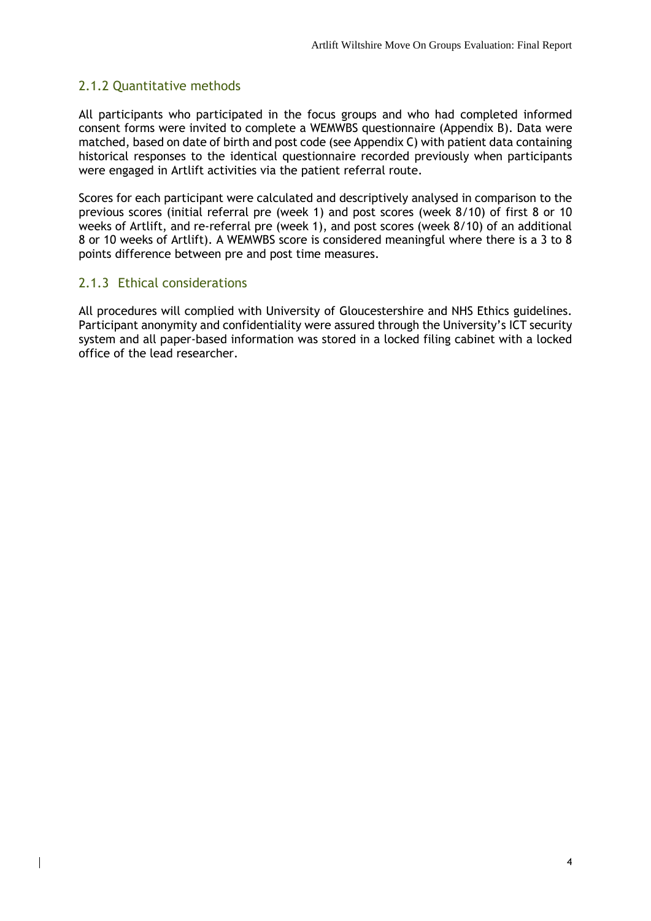#### <span id="page-8-0"></span>2.1.2 Quantitative methods

All participants who participated in the focus groups and who had completed informed consent forms were invited to complete a WEMWBS questionnaire (Appendix B). Data were matched, based on date of birth and post code (see Appendix C) with patient data containing historical responses to the identical questionnaire recorded previously when participants were engaged in Artlift activities via the patient referral route.

Scores for each participant were calculated and descriptively analysed in comparison to the previous scores (initial referral pre (week 1) and post scores (week 8/10) of first 8 or 10 weeks of Artlift, and re-referral pre (week 1), and post scores (week 8/10) of an additional 8 or 10 weeks of Artlift). A WEMWBS score is considered meaningful where there is a 3 to 8 points difference between pre and post time measures.

#### <span id="page-8-1"></span>2.1.3 Ethical considerations

All procedures will complied with University of Gloucestershire and NHS Ethics guidelines. Participant anonymity and confidentiality were assured through the University's ICT security system and all paper-based information was stored in a locked filing cabinet with a locked office of the lead researcher.

4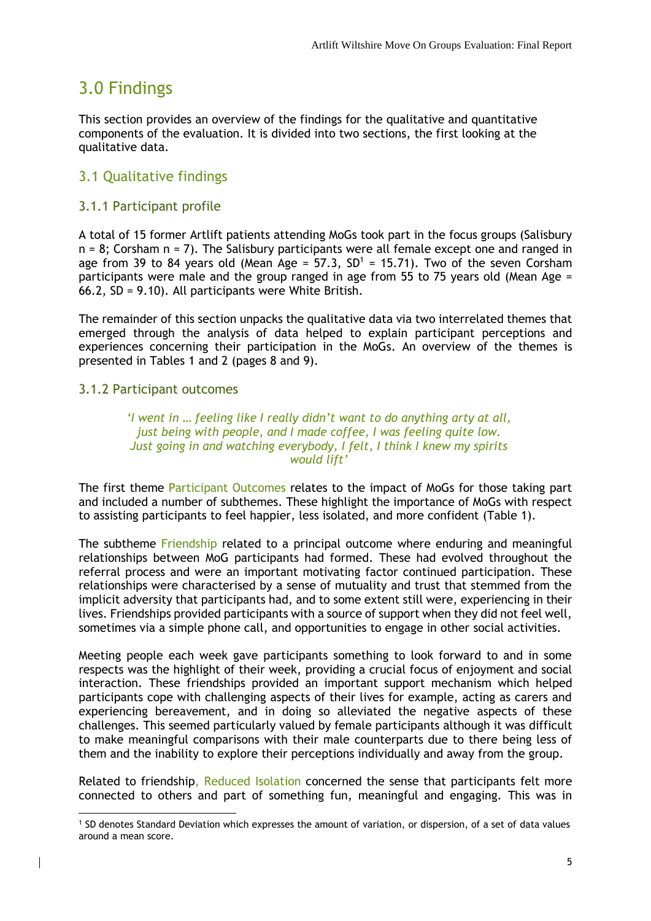## <span id="page-9-0"></span>3.0 Findings

This section provides an overview of the findings for the qualitative and quantitative components of the evaluation. It is divided into two sections, the first looking at the qualitative data.

#### <span id="page-9-1"></span>3.1 Qualitative findings

#### <span id="page-9-2"></span>3.1.1 Participant profile

A total of 15 former Artlift patients attending MoGs took part in the focus groups (Salisbury  $n = 8$ ; Corsham  $n = 7$ ). The Salisbury participants were all female except one and ranged in age from 39 to 84 years old (Mean Age =  $57.3$ ,  $SD<sup>1</sup> = 15.71$ ). Two of the seven Corsham participants were male and the group ranged in age from 55 to 75 years old (Mean Age = 66.2, SD = 9.10). All participants were White British.

The remainder of this section unpacks the qualitative data via two interrelated themes that emerged through the analysis of data helped to explain participant perceptions and experiences concerning their participation in the MoGs. An overview of the themes is presented in Tables 1 and 2 (pages 8 and 9).

#### <span id="page-9-3"></span>3.1.2 Participant outcomes

-

*'I went in … feeling like I really didn't want to do anything arty at all, just being with people, and I made coffee, I was feeling quite low. Just going in and watching everybody, I felt, I think I knew my spirits would lift'*

The first theme Participant Outcomes relates to the impact of MoGs for those taking part and included a number of subthemes. These highlight the importance of MoGs with respect to assisting participants to feel happier, less isolated, and more confident (Table 1).

The subtheme Friendship related to a principal outcome where enduring and meaningful relationships between MoG participants had formed. These had evolved throughout the referral process and were an important motivating factor continued participation. These relationships were characterised by a sense of mutuality and trust that stemmed from the implicit adversity that participants had, and to some extent still were, experiencing in their lives. Friendships provided participants with a source of support when they did not feel well, sometimes via a simple phone call, and opportunities to engage in other social activities.

Meeting people each week gave participants something to look forward to and in some respects was the highlight of their week, providing a crucial focus of enjoyment and social interaction. These friendships provided an important support mechanism which helped participants cope with challenging aspects of their lives for example, acting as carers and experiencing bereavement, and in doing so alleviated the negative aspects of these challenges. This seemed particularly valued by female participants although it was difficult to make meaningful comparisons with their male counterparts due to there being less of them and the inability to explore their perceptions individually and away from the group.

Related to friendship, Reduced Isolation concerned the sense that participants felt more connected to others and part of something fun, meaningful and engaging. This was in

<sup>1</sup> SD denotes Standard Deviation which expresses the amount of variation, or dispersion, of a set of data values around a mean score.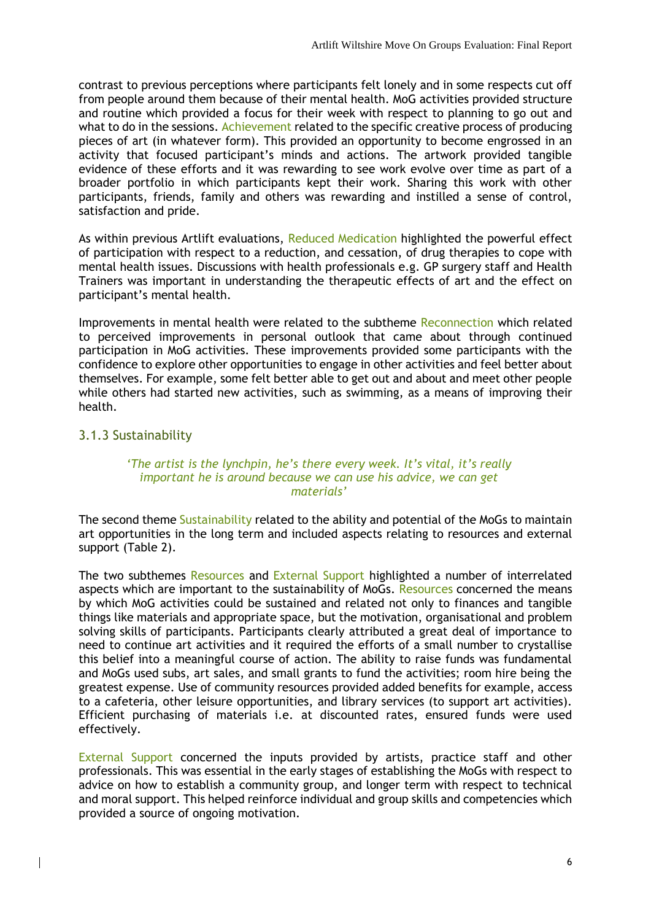contrast to previous perceptions where participants felt lonely and in some respects cut off from people around them because of their mental health. MoG activities provided structure and routine which provided a focus for their week with respect to planning to go out and what to do in the sessions. Achievement related to the specific creative process of producing pieces of art (in whatever form). This provided an opportunity to become engrossed in an activity that focused participant's minds and actions. The artwork provided tangible evidence of these efforts and it was rewarding to see work evolve over time as part of a broader portfolio in which participants kept their work. Sharing this work with other participants, friends, family and others was rewarding and instilled a sense of control, satisfaction and pride.

As within previous Artlift evaluations, Reduced Medication highlighted the powerful effect of participation with respect to a reduction, and cessation, of drug therapies to cope with mental health issues. Discussions with health professionals e.g. GP surgery staff and Health Trainers was important in understanding the therapeutic effects of art and the effect on participant's mental health.

Improvements in mental health were related to the subtheme Reconnection which related to perceived improvements in personal outlook that came about through continued participation in MoG activities. These improvements provided some participants with the confidence to explore other opportunities to engage in other activities and feel better about themselves. For example, some felt better able to get out and about and meet other people while others had started new activities, such as swimming, as a means of improving their health.

#### <span id="page-10-0"></span>3.1.3 Sustainability

#### *'The artist is the lynchpin, he's there every week. It's vital, it's really important he is around because we can use his advice, we can get materials'*

The second theme Sustainability related to the ability and potential of the MoGs to maintain art opportunities in the long term and included aspects relating to resources and external support (Table 2).

The two subthemes Resources and External Support highlighted a number of interrelated aspects which are important to the sustainability of MoGs. Resources concerned the means by which MoG activities could be sustained and related not only to finances and tangible things like materials and appropriate space, but the motivation, organisational and problem solving skills of participants. Participants clearly attributed a great deal of importance to need to continue art activities and it required the efforts of a small number to crystallise this belief into a meaningful course of action. The ability to raise funds was fundamental and MoGs used subs, art sales, and small grants to fund the activities; room hire being the greatest expense. Use of community resources provided added benefits for example, access to a cafeteria, other leisure opportunities, and library services (to support art activities). Efficient purchasing of materials i.e. at discounted rates, ensured funds were used effectively.

External Support concerned the inputs provided by artists, practice staff and other professionals. This was essential in the early stages of establishing the MoGs with respect to advice on how to establish a community group, and longer term with respect to technical and moral support. This helped reinforce individual and group skills and competencies which provided a source of ongoing motivation.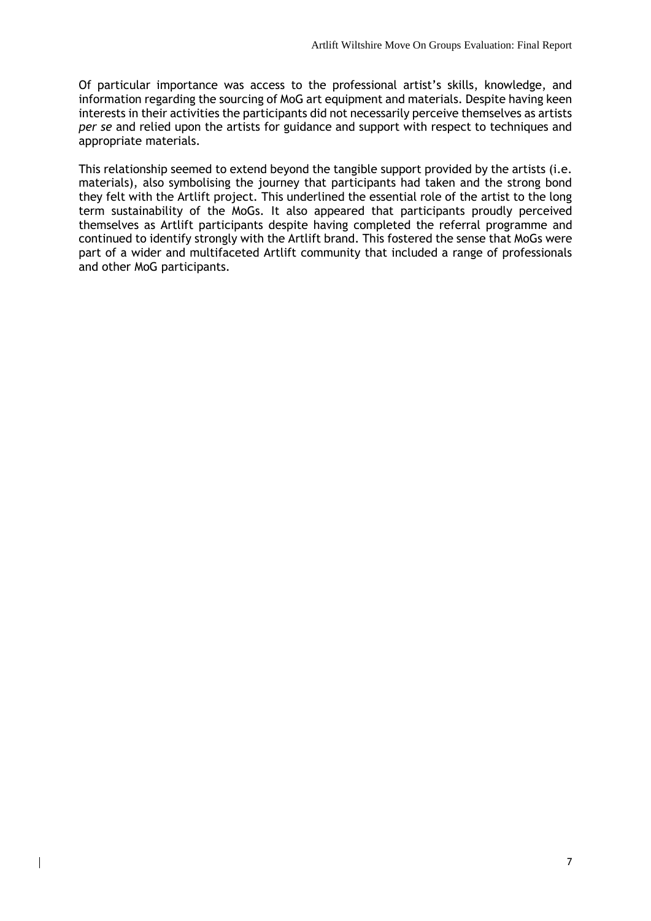Of particular importance was access to the professional artist's skills, knowledge, and information regarding the sourcing of MoG art equipment and materials. Despite having keen interests in their activities the participants did not necessarily perceive themselves as artists *per se* and relied upon the artists for guidance and support with respect to techniques and appropriate materials.

This relationship seemed to extend beyond the tangible support provided by the artists (i.e. materials), also symbolising the journey that participants had taken and the strong bond they felt with the Artlift project. This underlined the essential role of the artist to the long term sustainability of the MoGs. It also appeared that participants proudly perceived themselves as Artlift participants despite having completed the referral programme and continued to identify strongly with the Artlift brand. This fostered the sense that MoGs were part of a wider and multifaceted Artlift community that included a range of professionals and other MoG participants.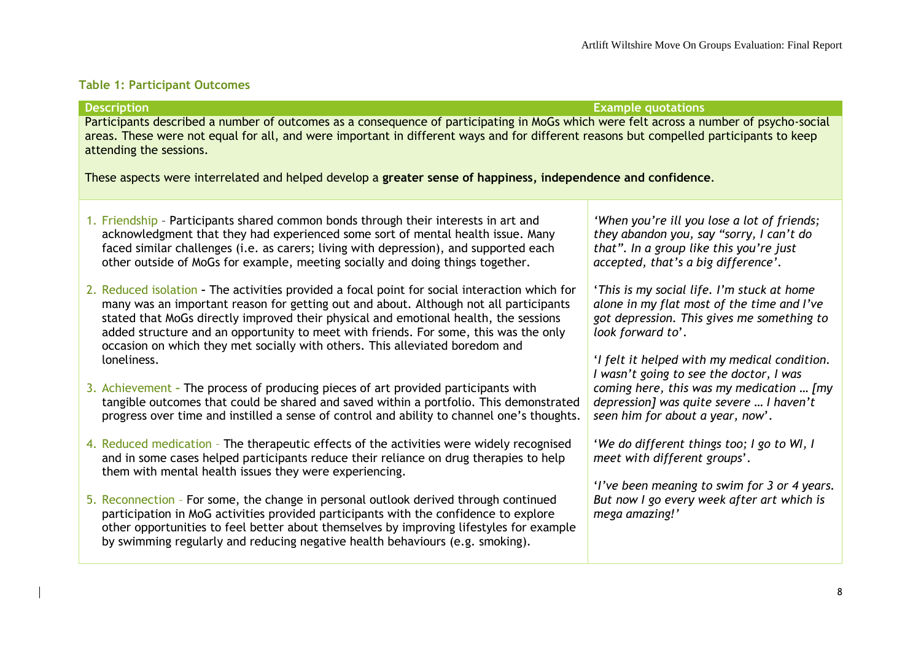#### **Table 1: Participant Outcomes**

<span id="page-12-0"></span>**Description Example quotations** Participants described a number of outcomes as a consequence of participating in MoGs which were felt across a number of psycho-social areas. These were not equal for all, and were important in different ways and for different reasons but compelled participants to keep attending the sessions. These aspects were interrelated and helped develop a **greater sense of happiness, independence and confidence**. 1. Friendship – Participants shared common bonds through their interests in art and acknowledgment that they had experienced some sort of mental health issue. Many faced similar challenges (i.e. as carers; living with depression), and supported each other outside of MoGs for example, meeting socially and doing things together. 2. Reduced isolation **–** The activities provided a focal point for social interaction which for many was an important reason for getting out and about. Although not all participants stated that MoGs directly improved their physical and emotional health, the sessions added structure and an opportunity to meet with friends. For some, this was the only occasion on which they met socially with others. This alleviated boredom and loneliness. 3. Achievement **–** The process of producing pieces of art provided participants with tangible outcomes that could be shared and saved within a portfolio. This demonstrated progress over time and instilled a sense of control and ability to channel one's thoughts. 4. Reduced medication – The therapeutic effects of the activities were widely recognised and in some cases helped participants reduce their reliance on drug therapies to help them with mental health issues they were experiencing. 5. Reconnection – For some, the change in personal outlook derived through continued participation in MoG activities provided participants with the confidence to explore other opportunities to feel better about themselves by improving lifestyles for example by swimming regularly and reducing negative health behaviours (e.g. smoking). *'When you're ill you lose a lot of friends; they abandon you, say "sorry, I can't do that". In a group like this you're just accepted, that's a big difference'*. '*This is my social life. I'm stuck at home alone in my flat most of the time and I've got depression. This gives me something to look forward to*'. '*I felt it helped with my medical condition. I wasn't going to see the doctor, I was coming here, this was my medication … [my depression] was quite severe … I haven't seen him for about a year, now*'. '*We do different things too; I go to WI, I meet with different groups*'. '*I've been meaning to swim for 3 or 4 years. But now I go every week after art which is mega amazing!'*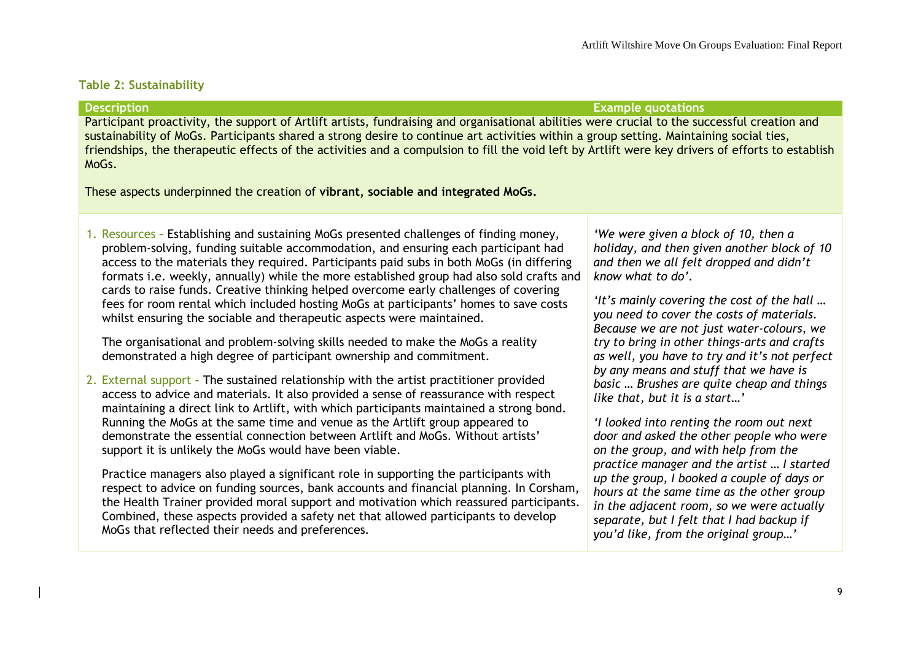#### **Table 2: Sustainability**

**Description Example quotations**

Participant proactivity, the support of Artlift artists, fundraising and organisational abilities were crucial to the successful creation and sustainability of MoGs. Participants shared a strong desire to continue art activities within a group setting. Maintaining social ties, friendships, the therapeutic effects of the activities and a compulsion to fill the void left by Artlift were key drivers of efforts to establish MoGs.

These aspects underpinned the creation of **vibrant, sociable and integrated MoGs.**

1. Resources **–** Establishing and sustaining MoGs presented challenges of finding money, problem-solving, funding suitable accommodation, and ensuring each participant had access to the materials they required. Participants paid subs in both MoGs (in differing formats i.e. weekly, annually) while the more established group had also sold crafts and cards to raise funds. Creative thinking helped overcome early challenges of covering fees for room rental which included hosting MoGs at participants' homes to save costs whilst ensuring the sociable and therapeutic aspects were maintained.

<span id="page-13-0"></span>The organisational and problem-solving skills needed to make the MoGs a reality demonstrated a high degree of participant ownership and commitment.

2. External support **-** The sustained relationship with the artist practitioner provided access to advice and materials. It also provided a sense of reassurance with respect maintaining a direct link to Artlift, with which participants maintained a strong bond. Running the MoGs at the same time and venue as the Artlift group appeared to demonstrate the essential connection between Artlift and MoGs. Without artists' support it is unlikely the MoGs would have been viable.

Practice managers also played a significant role in supporting the participants with respect to advice on funding sources, bank accounts and financial planning. In Corsham, the Health Trainer provided moral support and motivation which reassured participants. Combined, these aspects provided a safety net that allowed participants to develop MoGs that reflected their needs and preferences.

*'We were given a block of 10, then a holiday, and then given another block of 10 and then we all felt dropped and didn't know what to do'.* 

*'It's mainly covering the cost of the hall … you need to cover the costs of materials. Because we are not just water-colours, we try to bring in other things-arts and crafts as well, you have to try and it's not perfect by any means and stuff that we have is basic … Brushes are quite cheap and things like that, but it is a start…'*

*'I looked into renting the room out next door and asked the other people who were on the group, and with help from the practice manager and the artist … I started up the group, I booked a couple of days or hours at the same time as the other group in the adjacent room, so we were actually separate, but I felt that I had backup if you'd like, from the original group…'*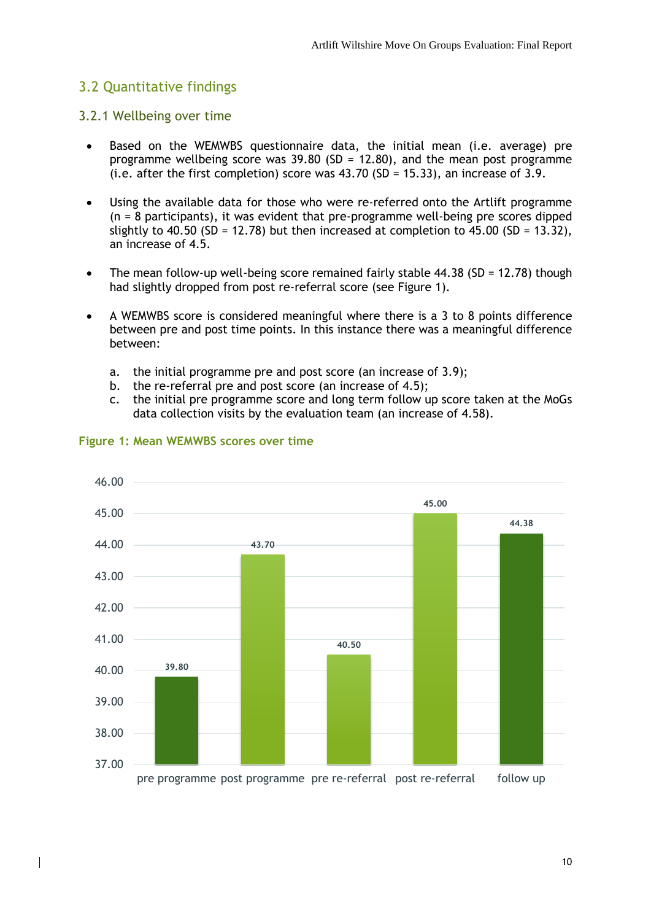#### <span id="page-14-0"></span>3.2 Quantitative findings

#### <span id="page-14-1"></span>3.2.1 Wellbeing over time

- Based on the WEMWBS questionnaire data, the initial mean (i.e. average) pre programme wellbeing score was 39.80 (SD = 12.80), and the mean post programme (i.e. after the first completion) score was 43.70 (SD = 15.33), an increase of 3.9.
- Using the available data for those who were re-referred onto the Artlift programme (n = 8 participants), it was evident that pre-programme well-being pre scores dipped slightly to 40.50 (SD = 12.78) but then increased at completion to 45.00 (SD = 13.32), an increase of 4.5.
- The mean follow-up well-being score remained fairly stable  $44.38$  (SD = 12.78) though had slightly dropped from post re-referral score (see Figure 1).
- A WEMWBS score is considered meaningful where there is a 3 to 8 points difference between pre and post time points. In this instance there was a meaningful difference between:
	- a. the initial programme pre and post score (an increase of 3.9);
	- b. the re-referral pre and post score (an increase of 4.5);
	- c. the initial pre programme score and long term follow up score taken at the MoGs data collection visits by the evaluation team (an increase of 4.58).



#### **Figure 1: Mean WEMWBS scores over time**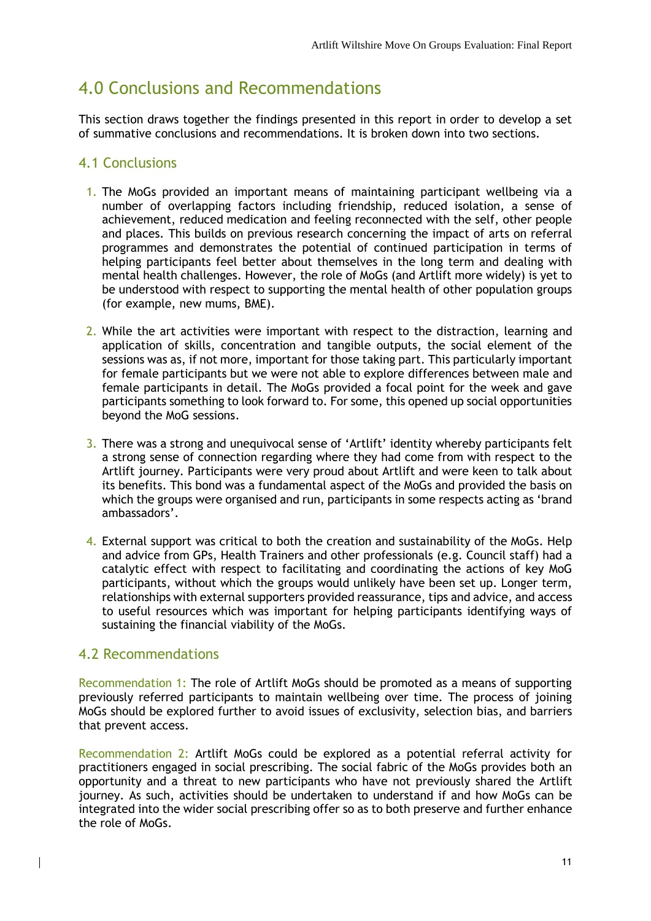## <span id="page-15-0"></span>4.0 Conclusions and Recommendations

This section draws together the findings presented in this report in order to develop a set of summative conclusions and recommendations. It is broken down into two sections.

#### <span id="page-15-1"></span>4.1 Conclusions

- 1. The MoGs provided an important means of maintaining participant wellbeing via a number of overlapping factors including friendship, reduced isolation, a sense of achievement, reduced medication and feeling reconnected with the self, other people and places. This builds on previous research concerning the impact of arts on referral programmes and demonstrates the potential of continued participation in terms of helping participants feel better about themselves in the long term and dealing with mental health challenges. However, the role of MoGs (and Artlift more widely) is yet to be understood with respect to supporting the mental health of other population groups (for example, new mums, BME).
- 2. While the art activities were important with respect to the distraction, learning and application of skills, concentration and tangible outputs, the social element of the sessions was as, if not more, important for those taking part. This particularly important for female participants but we were not able to explore differences between male and female participants in detail. The MoGs provided a focal point for the week and gave participants something to look forward to. For some, this opened up social opportunities beyond the MoG sessions.
- 3. There was a strong and unequivocal sense of 'Artlift' identity whereby participants felt a strong sense of connection regarding where they had come from with respect to the Artlift journey. Participants were very proud about Artlift and were keen to talk about its benefits. This bond was a fundamental aspect of the MoGs and provided the basis on which the groups were organised and run, participants in some respects acting as 'brand ambassadors'.
- 4. External support was critical to both the creation and sustainability of the MoGs. Help and advice from GPs, Health Trainers and other professionals (e.g. Council staff) had a catalytic effect with respect to facilitating and coordinating the actions of key MoG participants, without which the groups would unlikely have been set up. Longer term, relationships with external supporters provided reassurance, tips and advice, and access to useful resources which was important for helping participants identifying ways of sustaining the financial viability of the MoGs.

#### <span id="page-15-2"></span>4.2 Recommendations

Recommendation 1: The role of Artlift MoGs should be promoted as a means of supporting previously referred participants to maintain wellbeing over time. The process of joining MoGs should be explored further to avoid issues of exclusivity, selection bias, and barriers that prevent access.

Recommendation 2: Artlift MoGs could be explored as a potential referral activity for practitioners engaged in social prescribing. The social fabric of the MoGs provides both an opportunity and a threat to new participants who have not previously shared the Artlift journey. As such, activities should be undertaken to understand if and how MoGs can be integrated into the wider social prescribing offer so as to both preserve and further enhance the role of MoGs.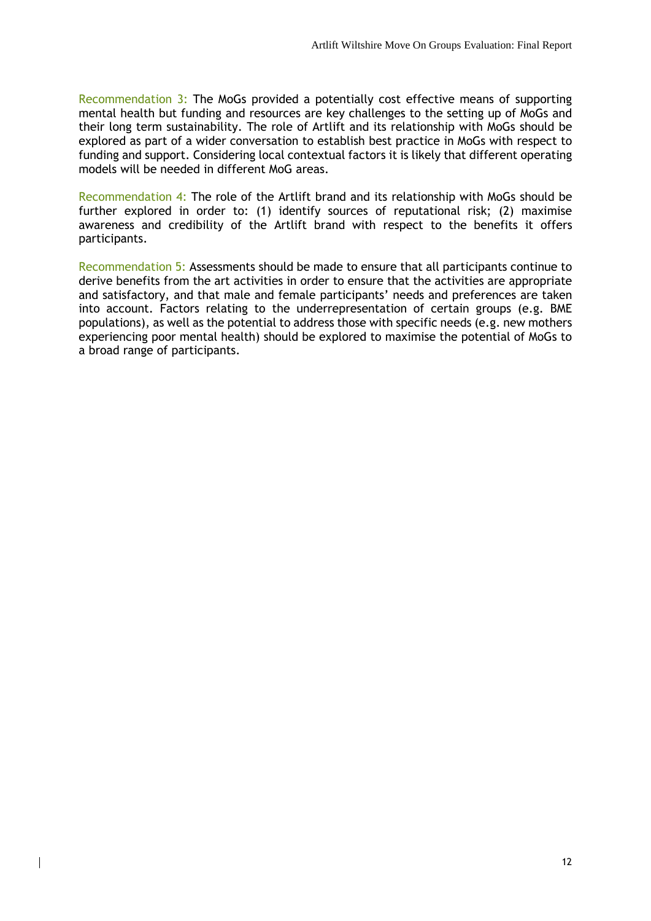Recommendation 3: The MoGs provided a potentially cost effective means of supporting mental health but funding and resources are key challenges to the setting up of MoGs and their long term sustainability. The role of Artlift and its relationship with MoGs should be explored as part of a wider conversation to establish best practice in MoGs with respect to funding and support. Considering local contextual factors it is likely that different operating models will be needed in different MoG areas.

Recommendation 4: The role of the Artlift brand and its relationship with MoGs should be further explored in order to: (1) identify sources of reputational risk; (2) maximise awareness and credibility of the Artlift brand with respect to the benefits it offers participants.

Recommendation 5: Assessments should be made to ensure that all participants continue to derive benefits from the art activities in order to ensure that the activities are appropriate and satisfactory, and that male and female participants' needs and preferences are taken into account. Factors relating to the underrepresentation of certain groups (e.g. BME populations), as well as the potential to address those with specific needs (e.g. new mothers experiencing poor mental health) should be explored to maximise the potential of MoGs to a broad range of participants.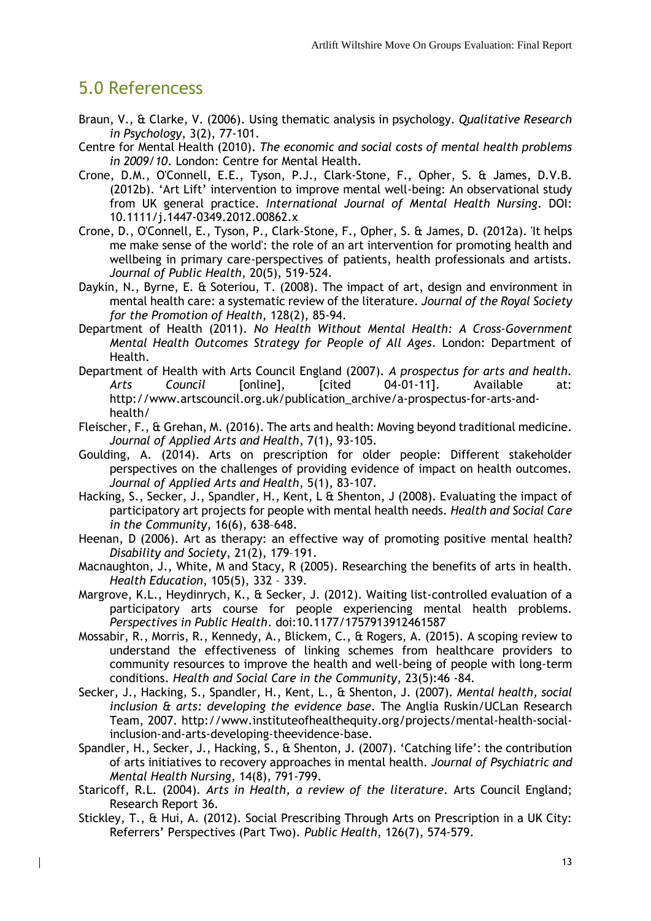## <span id="page-17-0"></span>5.0 Referencess

- Braun, V., & Clarke, V. (2006). Using thematic analysis in psychology. *Qualitative Research in Psychology*, 3(2), 77-101.
- Centre for Mental Health (2010). *The economic and social costs of mental health problems in 2009/10*. London: Centre for Mental Health.
- Crone, D.M., O'Connell, E.E., Tyson, P.J., Clark-Stone, F., Opher, S. & James, D.V.B. (2012b). 'Art Lift' intervention to improve mental well-being: An observational study from UK general practice. *International Journal of Mental Health Nursing*. DOI: 10.1111/j.1447-0349.2012.00862.x
- Crone, D., O'Connell, E., Tyson, P., Clark-Stone, F., Opher, S. & James, D. (2012a). 'It helps me make sense of the world': the role of an art intervention for promoting health and wellbeing in primary care-perspectives of patients, health professionals and artists. *Journal of Public Health*, 20(5), 519-524.
- Daykin, N., Byrne, E. & Soteriou, T. (2008). The impact of art, design and environment in mental health care: a systematic review of the literature. *Journal of the Royal Society for the Promotion of Health*, 128(2), 85-94.
- Department of Health (2011). *No Health Without Mental Health: A Cross-Government Mental Health Outcomes Strategy for People of All Ages*. London: Department of Health.
- Department of Health with Arts Council England (2007). *A prospectus for arts and health. Arts Council* [online], [cited 04-01-11]. Available at: http://www.artscouncil.org.uk/publication\_archive/a-prospectus-for-arts-andhealth/
- Fleischer, F., & Grehan, M. (2016). The arts and health: Moving beyond traditional medicine. *Journal of Applied Arts and Health*, 7(1), 93-105.
- Goulding, A. (2014). Arts on prescription for older people: Different stakeholder perspectives on the challenges of providing evidence of impact on health outcomes. *Journal of Applied Arts and Health*, 5(1), 83-107.
- Hacking, S., Secker, J., Spandler, H., Kent, L & Shenton, J (2008). Evaluating the impact of participatory art projects for people with mental health needs. *Health and Social Care in the Community*, 16(6), 638–648.
- Heenan, D (2006). Art as therapy: an effective way of promoting positive mental health? *Disability and Society*, 21(2), 179–191.
- Macnaughton, J., White, M and Stacy, R (2005). Researching the benefits of arts in health. *Health Education*, 105(5), 332 – 339.
- Margrove, K.L., Heydinrych, K., & Secker, J. (2012). Waiting list-controlled evaluation of a participatory arts course for people experiencing mental health problems. *Perspectives in Public Health*. doi:10.1177/1757913912461587
- Mossabir, R., Morris, R., Kennedy, A., Blickem, C., & Rogers, A. (2015). A scoping review to understand the effectiveness of linking schemes from healthcare providers to community resources to improve the health and well-being of people with long-term conditions. *Health and Social Care in the Community*, 23(5):46 -84.
- Secker, J., Hacking, S., Spandler, H., Kent, L., & Shenton, J. (2007). *Mental health, social inclusion & arts: developing the evidence base*. The Anglia Ruskin/UCLan Research Team, 2007. http://www.instituteofhealthequity.org/projects/mental-health-socialinclusion-and-arts-developing-theevidence-base.
- Spandler, H., Secker, J., Hacking, S., & Shenton, J. (2007). 'Catching life': the contribution of arts initiatives to recovery approaches in mental health. *Journal of Psychiatric and Mental Health Nursing*, 14(8), 791-799.
- Staricoff, R.L. (2004). *Arts in Health, a review of the literature*. Arts Council England; Research Report 36.
- Stickley, T., & Hui, A. (2012). Social Prescribing Through Arts on Prescription in a UK City: Referrers' Perspectives (Part Two). *Public Health*, 126(7), 574-579.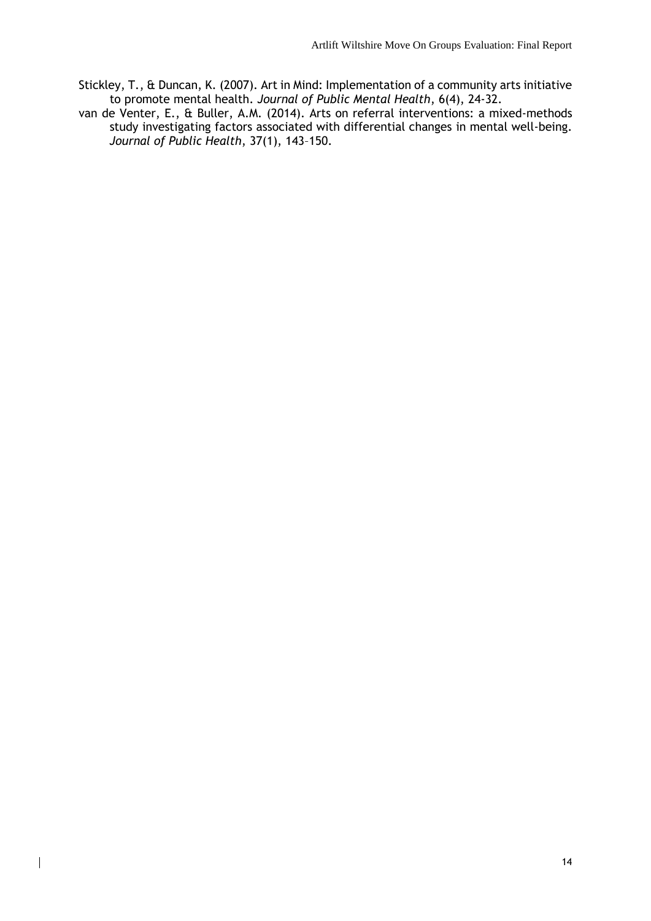- Stickley, T., & Duncan, K. (2007). Art in Mind: Implementation of a community arts initiative to promote mental health. *Journal of Public Mental Health*, 6(4), 24-32.
- van de Venter, E., & Buller, A.M. (2014). Arts on referral interventions: a mixed-methods study investigating factors associated with differential changes in mental well-being. *Journal of Public Health*, 37(1), 143–150.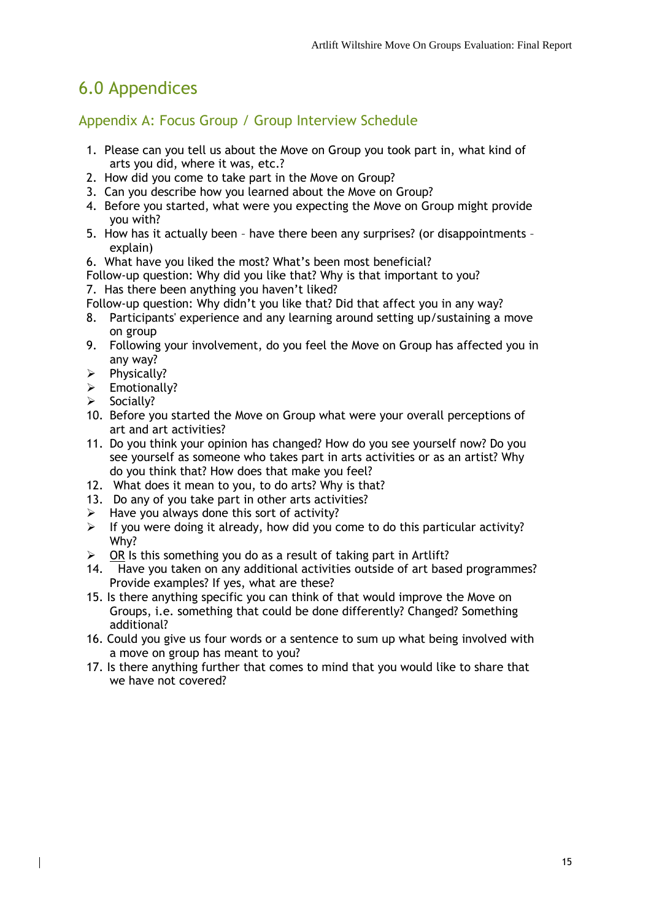# <span id="page-19-0"></span>6.0 Appendices

<span id="page-19-1"></span>Appendix A: Focus Group / Group Interview Schedule

- 1. Please can you tell us about the Move on Group you took part in, what kind of arts you did, where it was, etc.?
- 2. How did you come to take part in the Move on Group?
- 3. Can you describe how you learned about the Move on Group?
- 4. Before you started, what were you expecting the Move on Group might provide you with?
- 5. How has it actually been have there been any surprises? (or disappointments explain)
- 6. What have you liked the most? What's been most beneficial?

Follow-up question: Why did you like that? Why is that important to you?

- 7. Has there been anything you haven't liked?
- Follow-up question: Why didn't you like that? Did that affect you in any way?
- 8. Participants' experience and any learning around setting up/sustaining a move on group
- 9. Following your involvement, do you feel the Move on Group has affected you in any way?
- $\triangleright$  Physically?
- $\triangleright$  Emotionally?
- $\triangleright$  Socially?
- 10. Before you started the Move on Group what were your overall perceptions of art and art activities?
- 11. Do you think your opinion has changed? How do you see yourself now? Do you see yourself as someone who takes part in arts activities or as an artist? Why do you think that? How does that make you feel?
- 12. What does it mean to you, to do arts? Why is that?
- 13. Do any of you take part in other arts activities?
- $\triangleright$  Have you always done this sort of activity?
- $\triangleright$  If you were doing it already, how did you come to do this particular activity? Why?
- $\triangleright$  OR Is this something you do as a result of taking part in Artlift?
- 14. Have you taken on any additional activities outside of art based programmes? Provide examples? If yes, what are these?
- 15. Is there anything specific you can think of that would improve the Move on Groups, i.e. something that could be done differently? Changed? Something additional?
- 16. Could you give us four words or a sentence to sum up what being involved with a move on group has meant to you?
- 17. Is there anything further that comes to mind that you would like to share that we have not covered?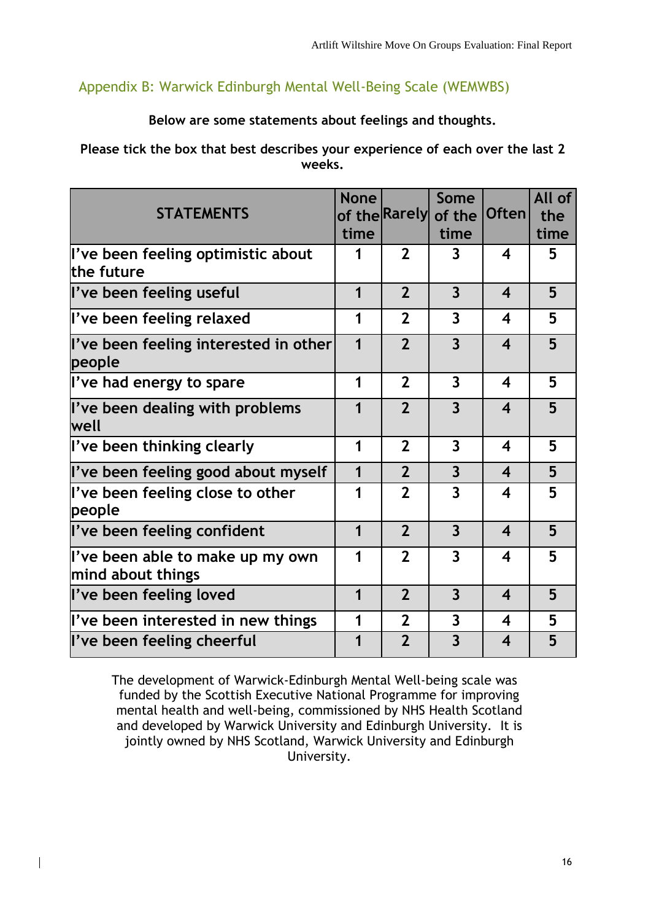### <span id="page-20-0"></span>Appendix B: Warwick Edinburgh Mental Well-Being Scale (WEMWBS)

#### **Below are some statements about feelings and thoughts.**

#### **Please tick the box that best describes your experience of each over the last 2 weeks.**

| <b>STATEMENTS</b>                                     | <b>None</b><br>time | of the Rarely  | Some<br>of the<br>time  | Often                   | All of<br>the<br>time |
|-------------------------------------------------------|---------------------|----------------|-------------------------|-------------------------|-----------------------|
| l've been feeling optimistic about<br>lthe future     | 1                   | $\overline{2}$ | 3                       | $\boldsymbol{4}$        | 5                     |
| l've been feeling useful                              | $\mathbf 1$         | $\overline{2}$ | $\overline{3}$          | $\overline{\mathbf{4}}$ | 5                     |
| l've been feeling relaxed                             | 1                   | $\overline{2}$ | $\overline{3}$          | $\boldsymbol{4}$        | 5                     |
| l've been feeling interested in other<br>people       | $\mathbf 1$         | $\overline{2}$ | $\overline{3}$          | $\boldsymbol{4}$        | 5                     |
| l've had energy to spare                              | 1                   | $\overline{2}$ | $\overline{3}$          | $\boldsymbol{4}$        | 5                     |
| l've been dealing with problems<br>lwell              | 1                   | $\overline{2}$ | $\overline{3}$          | $\overline{\mathbf{4}}$ | 5                     |
| l've been thinking clearly                            | 1                   | $\overline{2}$ | $\overline{3}$          | 4                       | 5                     |
| l've been feeling good about myself                   | 1                   | $\overline{2}$ | $\overline{3}$          | $\overline{\mathbf{4}}$ | 5                     |
| l've been feeling close to other<br>people            | 1                   | $\overline{2}$ | $\overline{\mathbf{3}}$ | $\boldsymbol{4}$        | 5                     |
| l've been feeling confident                           | $\mathbf 1$         | $\overline{2}$ | $\overline{3}$          | $\boldsymbol{4}$        | 5                     |
| l've been able to make up my own<br>mind about things | 1                   | $\overline{2}$ | $\overline{3}$          | $\boldsymbol{4}$        | 5                     |
| l've been feeling loved                               | 1                   | $\overline{2}$ | $\overline{3}$          | $\boldsymbol{4}$        | 5                     |
| l've been interested in new things                    | 1                   | $\overline{2}$ | $\overline{3}$          | 4                       | 5                     |
| l've been feeling cheerful                            | 1                   | $\overline{2}$ | $\overline{3}$          | $\overline{\mathbf{4}}$ | 5                     |

The development of Warwick-Edinburgh Mental Well-being scale was funded by the Scottish Executive National Programme for improving mental health and well-being, commissioned by NHS Health Scotland and developed by Warwick University and Edinburgh University. It is jointly owned by NHS Scotland, Warwick University and Edinburgh University.

 $\overline{\phantom{a}}$